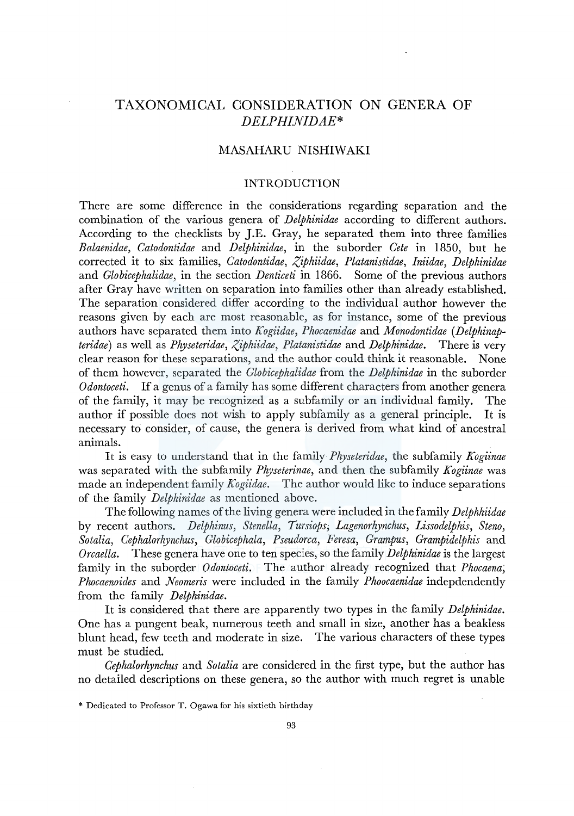# TAXONOMICAL CONSIDERATION ON GENERA OF *DELPHINIDAE\**

## MASAHARU NISHIWAKI

### INTRODUCTION

There are some difference in the considerations regarding separation and the combination of the various genera of *Delphinidae* according to different authors. According to the checklists by J.E. Gray, he separated them into three families *Balaenidae, Catodontidae* and *Delphinidae,* in the suborder *Cete* in 1850, but he corrected it to six families, *Catodontidae, Ziphiidae, Platanistidae, Iniidae, Delphinidae*  and *Globicephalidae,* in the section *Denticeti* in 1866. Some of the previous authors after Gray have written on separation into families other than already established. The separation considered differ according to the individual author however the reasons given by each are most reasonable, as for instance, some of the previous authors have separated them into *Kogiidae, Phocaenidae* and *Monodontidae (Delphinapteridae)* as well as *Physeteridae, Ziphiidae, Platanistidae* and *Delphinidae.* There is very clear reason for these separations, and the author could think it reasonable. None of them however, separated the *Globicephalidae* from the *Delphinidae* in the suborder *Odontoceti.* If a genus of a family has some different characters from another genera of the family, it may be recognized as a subfamily or an individual family. The author if possible does not wish to apply subfamily as a general principle. It is necessary to consider, of cause, the genera is derived from what kind of ancestral animals.

It is easy to understand that in the family *Physeteridae,* the subfamily *Kogiinae*  was separated with the subfamily *Physeterinae,* and then the subfamily *Kogiinae* was made an independent family *Kogiidae.* The author would like to induce separations of the family *Delphinidae* as mentioned above.

The following names of the living genera were included in the family *Delphhiidae*  by recent authors. *Delphinus, Stenella, Tursiops; Lagenorhynchus, Lissodelphis, Steno, Sotalia, Cephalorhynchus, Globicephala, Pseudorca, Feresa, Grampus, Grampidelphis* and *Orcaella.* These genera have one to ten species, so the family *Delphinidae* is the largest family in the suborder *Odontoceti.* The author already recognized that *Phocaena; Phocaenoides* and *Neomeris* were included in the family *Phoocaenidae* indepdendently from the family *Delphinidae.* 

It is considered that there are apparently two types in the family *Delphinidae.*  One has a pungent beak, numerous teeth and small in size, another has a beakless blunt head, few teeth and moderate in size. The various characters of these types must be studied.

*Cephalorhynchus* and *Sotalia* are considered in the first type, but the author has no detailed descriptions on these genera, so the author with much regret is unable

<sup>\*</sup> Dedicated to Professor T. Ogawa for his sixtieth birthday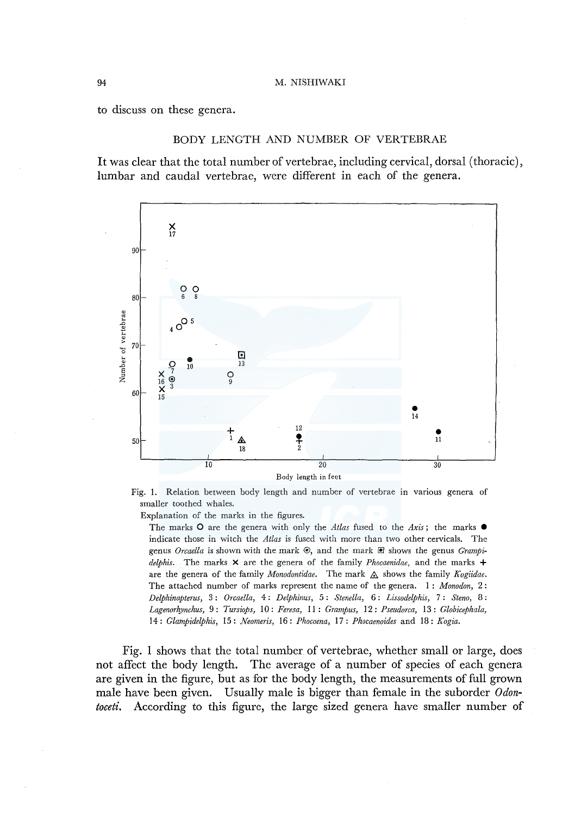to discuss on these genera.

### BODY LENGTH AND NUMBER OF VERTEBRAE

It was clear that the total number of vertebrae, including cervical, dorsal (thoracic), lumbar and caudal vertebrae, were different in each of the genera.



Fig. 1. Relation between body length and number of vertebrae in various genera of smaller toothed whales.

Explanation of the marks in the figures.

The marks O are the genera with only the *Atlas* fused to the *Axis*; the marks  $\bullet$ indicate those in witch the *Atlas* is fused with more than two other cervicals. The genus *Orcaella* is shown with the mark  $\odot$ , and the mark  $\Box$  shows the genus *Grampidelphis.* The marks X are the genera of the family *Phocaenidae,* and the marks + are the genera of the family *Monodontidae*. The mark  $\triangle$  shows the family *Kogiidae*. The attached number of marks represent the name of the genera. 1 : *Monodon,* 2 : *Delphinapterus,* 3 : *Orcaella,* 4: *Delphinus,* 5: *Stenella,* 6: *Lissodelphis,* 7 : *Steno,* 8: *Lagenorhynchus,* 9: *Tursiops,* 10: *Feresa,* 11 : *Grampus,* 12: *Pseudorca,* 13: *Globicephala,*  14: *Glampidelphis,* 15: *Neomeris,* 16: *Phocoena,* 17: *Phocaenoides* and 18: *Kogia.* 

Fig. I shows that the total number of vertebrae, whether small or large, does not affect the body length. The average of a number of species of each genera are given in the figure, but as for the body length, the measurements of full grown male have been given. Usually male is bigger than female in the suborder *Odontoceti.* According to this figure, the large sized genera have smaller number of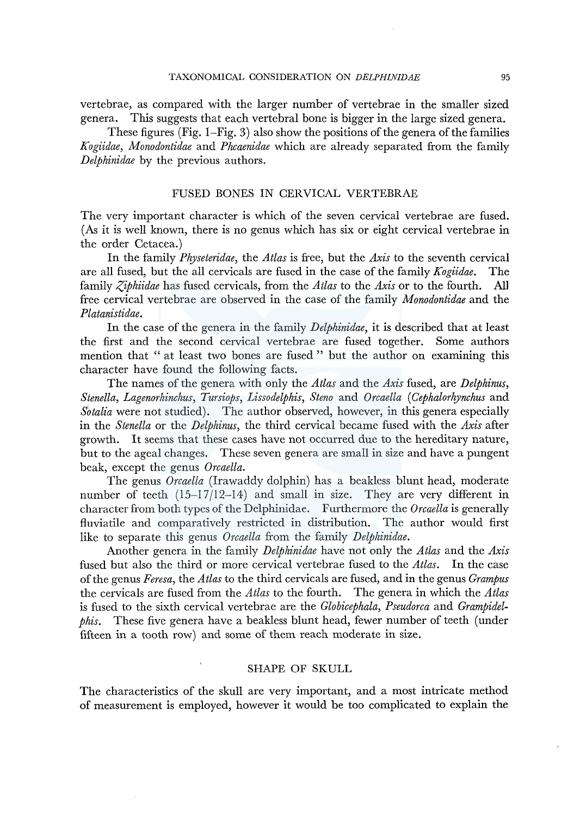vertebrae, as compared with the larger number of vertebrae in the smaller sized genera. This suggests that each vertebral bone is bigger in the large sized genera.

These figures (Fig. 1–Fig. 3) also show the positions of the genera of the families *Kogiidae, Monodontidae* and *Phcaenidae* which are already separated from the family *Delphinidae* by the previous authors.

### FUSED BONES IN CERVICAL VERTEBRAE

The very important character is which of the seven cervical vertebrae are fused. (As it is well known, there is no genus which has six or eight cervical vertebrae in the order Cetacea.)

In the family *Physeteridae,* the *Atlas* is free, but the *Axis* to the seventh cervical are all fused, but the all cervicals are fused in the case of the family *Kogiidae.* The family *Ziphiidae* has fused cervicals, from the *Atlas* to the *Axis* or to the fourth. All free cervical vertebrae are observed in the case of the family *Monodontidae* and the *Platanistidae.* 

In the case of the genera in the family *Delphinidae,* it is described that at least the first and the second cervical vertebrae are fused together. Some authors mention that " at least two bones are fused " but the author on examining this character have found the following facts.

The names of the genera with only the *Atlas* and the *Axis* fused, are *Delphinus, Stenella, Lagenorhinchus, Tursiops, Lissodelphis, Steno* and *Orcaella* ( *Cephalorhynchus* and *Sotalia* were not studied). The author observed, however, in this genera especially in the *Stenella* or the *Delphinus,* the third cervical became fused with the *Axis* after growth. It seems that these cases have not occurred due to the hereditary nature, but to the ageal changes. These seven genera are small in size and have a pungent beak, except the genus *Orcaella.* 

The genus *Orcaella* (Irawaddy dolphin) has a beakless blunt head, moderate number of teeth (15-17/12-14) and small in size. They are very different in character from both types of the Delphinidae. Furthermore the *Orcaella* is generally fluviatile and comparatively restricted in distribution. The author would first like to separate this genus *Orcaella* from the family *Delphinidae.* 

Another genera in the family *Delphinidae* have not only the *Atlas* and the *Axis*  fused but also the third or more cervical vertebrae fused to the *Atlas.* In the case of the genus *Feresa,* the *Atlas* to the third cervicals are fused, and in the genus *Grampus*  the cervicals are fused from the *Atlas* to the fourth. The genera in which the *Atlas*  is fused to the sixth cervical vertebrae are the *Globicephala, Pseudorca* and *Grampidelphis.* These five genera have a beakless blunt head, fewer number of teeth (under fifteen in a tooth row) and some of them reach moderate in size.

### SHAPE OF SKULL

The characteristics of the skull are very important, and a most intricate method of measurement is employed, however it would be too complicated to explain the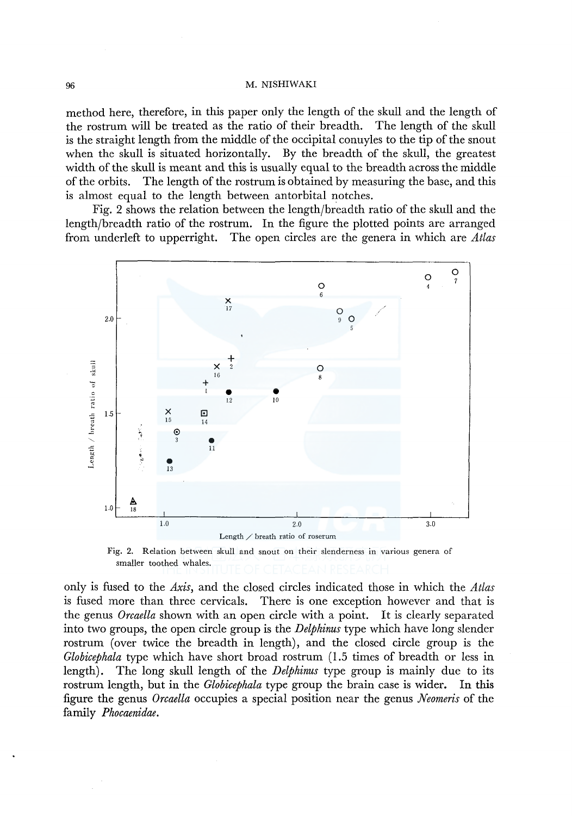method here, therefore, in this paper only the length of the skull and the length of the rostrum will be treated as the ratio of their breadth. The length of the skull is the straight length from the middle of the occipital conuyles to the tip of the snout when the skull is situated horizontally. By the breadth of the skull, the greatest width of the skull is meant and this is usually equal to the breadth across the middle of the orbits. The length of the rostrum is obtained by measuring the base, and this is almost equal to the length between antorbital notches.

Fig. 2 shows the relation between the length/breadth ratio of the skull and the length/breadth ratio of the rostrum. In the figure the plotted points are arranged from underleft to upperright. The open circles are the genera in which are *Atlas* 



Fig. 2. Relation between skull and snout on their slenderness in various genera of smaller toothed whales.

only is fused to the *Axis,* and the closed circles indicated those in which the *Atlas*  is fused more than three cervicals. There is one exception however and that is the genus *Orcaella* shown with an open circle with a point. It is clearly separated into two groups, the open circle group is the *Delphinus* type which have long slender rostrum (over twice the breadth in length), and the closed circle group is the *Globicephala* type which have short broad rostrum (1.5 times of breadth or less in length). The long skull length of the *Delphinus* type group is mainly due to its rostrum length, but in the *Globicephala* type group the brain case is wider. In this figure the genus *Orcaella* occupies a special position near the genus *Neomeris* of the family *Phocaenidae.*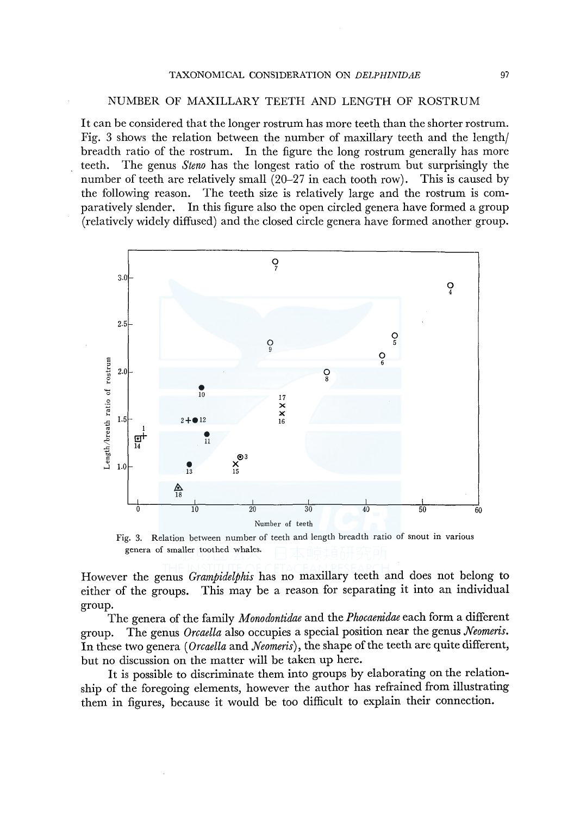### NUMBER OF MAXILLARY TEETH AND LENGTH OF ROSTRUM

It can be considered that the longer rostrum has more teeth than the shorter rostrum. Fig. 3 shows the relation between the number of maxillary teeth and the length/ breadth ratio of the rostrum. In the figure the long rostrum generally has more teeth. The genus *Steno* has the longest ratio of the rostrum but surprisingly the number of teeth are relatively small (20-27 in each tooth row). This is caused by the following reason. The teeth size is relatively large and the rostrum is comparatively slender. In this figure also the open circled genera have formed a group (relatively widely diffused) and the closed circle genera have formed another group.



Fig. 3. Relation between number of teeth and length breadth ratio of snout in various genera of smaller toothed whales.

However the genus *Grampidelphis* has no maxillary teeth and does not belong to either of the groups. This may be a reason for separating it into an individual group.

The genera of the family *Monodontidae* and the *Phocaenidae* each form a different group. The genus *Orcaella* also occupies a special position near the genus *Neomeris.*  In these two genera *(Orcaella* and *Neomeris),* the shape of the teeth are quite different, but no discussion on the matter will be taken up here.

It is possible to discriminate them into groups by elaborating on the relationship of the foregoing elements, however the author has refrained from illustrating them in figures, because it would be too difficult to explain their connection.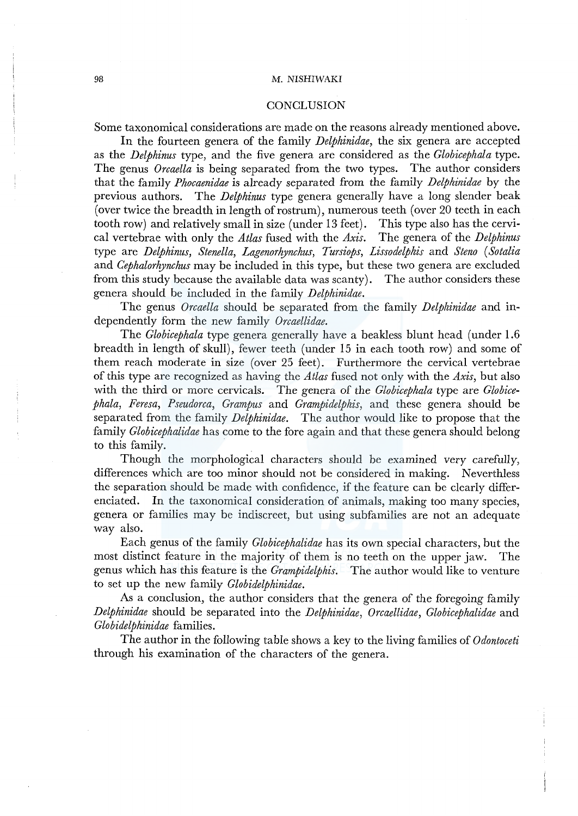### **CONCLUSION**

Some taxonomical considerations are made on the reasons already mentioned above.

In the fourteen genera of the family *Delphinidae,* the six genera are accepted as the *Delphinus* type, and the five genera are considered as the *Globicephala* type. The genus *Orcaella* is being separated from the two types. The author considers that the family *Phocaenidae* is already separated from the family *Delphinidae* by the previous authors. The *Delphinus* type genera generally have a long slender beak (over twice the breadth in length of rostrum), numerous teeth (over  $20$  teeth in each tooth row) and relatively small in size (under 13 feet). This type also has the cervitooth row) and relatively small in size (under  $13$  feet). cal vertebrae with only the *Atlas* fused with the *Axis.* The genera of the *Delphinus*  type are *Delphinus, Stenella, Lagenorhynchus, Tursiops, Lissodelphis* and *Steno ( Sotalia*  and *Cephalorhynchus* may be included in this type, but these two genera are excluded from this study because the available data was scanty). The author considers these genera should be included in the family *Delphinidae.* 

The genus *Orcaella* should be separated from the family *Delphinidae* and independently form the new family *Orcaellidae.* 

The *Globicephala* type genera generally have a beakless blunt head (under 1.6 breadth in length of skull), fewer teeth (under 15 in each tooth row) and some of them reach moderate in size (over 25 feet). Furthermore the cervical vertebrae of this type are recognized as having the *Atlas* fused not only with the *Axis,* but also with the third or more cervicals. The genera of the *Globicephala* type are *Globicephala, Feresa, Pseudorca, Grampus* and *Grampidelphis,* and these genera should be separated from the family *Delphinidae.* The author would like to propose that the family *Globicephalidae* has come to the fore again and that these genera should belong to this family.

Though the morphological characters should be examined very carefully, differences which are too minor should not be considered in making. Neverthless the separation should be made with confidence, if the feature can be clearly differenciated. In the taxonomical consideration of animals, making too many species, genera or families may be indiscreet, but using subfamilies are not an adequate way also.

Each genus of the family *Globicephalidae* has its own special characters, but the most distinct feature in the majority of them is no teeth on the upper jaw. The genus which has this feature is the *Grampidelphis.* The author would like to venture to set up the new family *Globidelphinidae.* 

As a conclusion, the author considers that the genera of the foregoing family *Delphinidae* should be separated into the *Delphinidae, Orcaellidae, Globicephalidae* and *Globidelphinidae* families.

The author in the following table shows a key to the living families of *Odontoceti*  through his examination of the characters of the genera.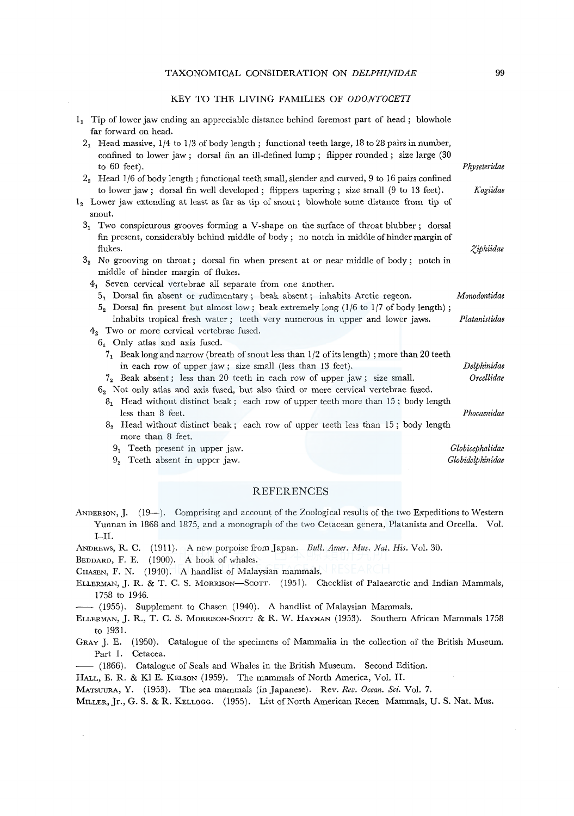#### KEY TO THE LIVING FAMILIES OF *ODONTOCETI*

| $11$ Tip of lower jaw ending an appreciable distance behind foremost part of head; blowhole<br>far forward on head.                                                                        |                  |
|--------------------------------------------------------------------------------------------------------------------------------------------------------------------------------------------|------------------|
| $21$ Head massive, $1/4$ to $1/3$ of body length; functional teeth large, 18 to 28 pairs in number,                                                                                        |                  |
| confined to lower jaw; dorsal fin an ill-defined lump; flipper rounded; size large (30)                                                                                                    |                  |
| to $60$ feet).                                                                                                                                                                             | Physeteridae     |
| $22$ Head 1/6 of body length; functional teeth small, slender and curved, 9 to 16 pairs confined<br>to lower jaw; dorsal fin well developed; flippers tapering; size small (9 to 13 feet). | Kogiidae         |
| $12$ Lower jaw extending at least as far as tip of snout; blowhole some distance from tip of<br>snout.                                                                                     |                  |
| $31$ Two conspicurous grooves forming a V-shape on the surface of throat blubber; dorsal                                                                                                   |                  |
| fin present, considerably behind middle of body; no notch in middle of hinder margin of                                                                                                    |                  |
| flukes.                                                                                                                                                                                    | Ziphiidae        |
| $32$ No grooving on throat; dorsal fin when present at or near middle of body; notch in                                                                                                    |                  |
| middle of hinder margin of flukes.                                                                                                                                                         |                  |
| $41$ Seven cervical vertebrae all separate from one another.                                                                                                                               |                  |
| 5, Dorsal fin absent or rudimentary; beak absent; inhabits Arctic regeon.                                                                                                                  | Monodontidae     |
| Dorsal fin present but almost low; beak extremely long $(1/6$ to $1/7$ of body length);<br>5,<br>inhabits tropical fresh water; teeth very numerous in upper and lower jaws.               | Platanistidae    |
| $42$ Two or more cervical vertebrae fused.                                                                                                                                                 |                  |
| 6. Only atlas and axis fused.                                                                                                                                                              |                  |
| $71$ Beak long and narrow (breath of snout less than 1/2 of its length); more than 20 teeth                                                                                                |                  |
| in each row of upper jaw; size small (less than 13 feet).                                                                                                                                  | Delphinidae      |
| $72$ Beak absent; less than 20 teeth in each row of upper jaw; size small.                                                                                                                 | Orcellidae       |
| $62$ Not only atlas and axis fused, but also third or more cervical vertebrae fused.                                                                                                       |                  |
| 8. Head without distinct beak; each row of upper teeth more than 15; body length                                                                                                           |                  |
| less than 8 feet.                                                                                                                                                                          | Phocaenidae      |
| $82$ Head without distinct beak; each row of upper teeth less than 15; body length                                                                                                         |                  |
| more than 8 feet.                                                                                                                                                                          |                  |
| $91$ Teeth present in upper jaw.                                                                                                                                                           | Globicephalidae  |
| $92$ Teeth absent in upper jaw.                                                                                                                                                            | Globidelphinidae |
|                                                                                                                                                                                            |                  |

#### REFERENCES

- ANDERSON, J. (19-). Comprising and account of the Zoological results of the two Expeditions to Western Yunnan in 1868 and 1875, and a monograph of the two Cetacean genera, Platanista and Orcella. Vol. I-II.
- ANDREWS, R. C. (1911). A new porpoise from Japan. *Bull. Amer. Mus. Nat. His.* Vol. 30.
- BEDDARD, F. E. (1900). A book of whales.
- CHASEN, F. N. (1940). A handlist of Malaysian mammals.
- ELLERMAN, J. R. & T. C. S. MoRRISON-SCOTT. (1951). Checklist of Palaearctic and Indian Mammals, 1758 to 1946.
- (1955). Supplement to Chasen (1940). A handlist of Malaysian Mammals.
- ELLERMAN, J. R., T. C. S. MORRISON-SCOTT & R. W. HAYMAN (1953). Southern African Mammals 1758 to 1931.
- GRAY J. E. (1950). Catalogue of the specimens of Mammalia in the collection of the British Museum. Part 1. Cetacea.
- -- (1866). Catalogue of Seals and Whales in the British Museum. Second Edition.
- HALL, E. R. & Kl E. KELSON (1959). The mammals of North America, Vol. II.

MATSUURA, Y. (1953). The sea mammals (in Japanese). Rev. *Rev. Ocean. Sci.* Vol. 7.

MILLER, Jr., G. S. & R. KELLOGG. (1955). List of North American Recen Mammals, U.S. Nat. Mus.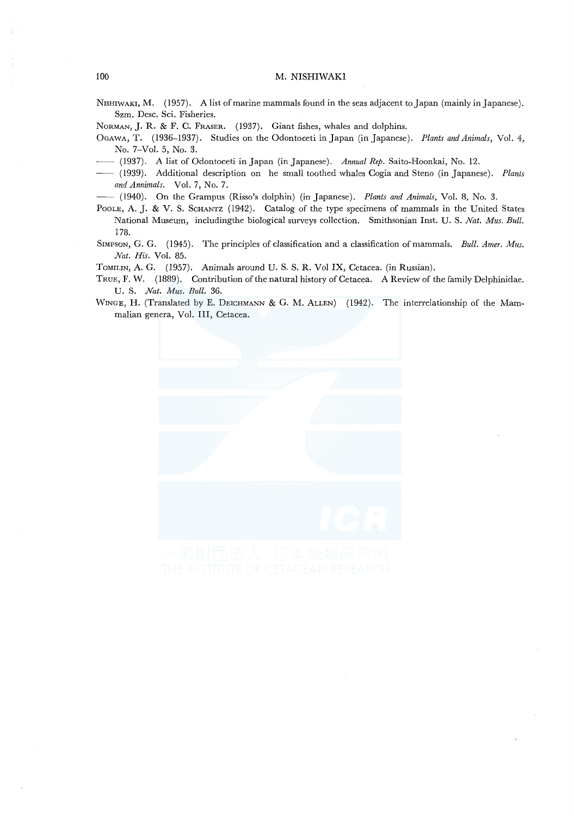- NrsHIWAKI, M. (1957). A list of marine mammals found in the seas adjacent to Japan (mainly in Japanese). Szm. Desc. Sci. Fisheries.
- NoRMAN, J. R. & F. C. FRASER. (1937). Giant fishes, whales and dolphins.
- OGAWA, T. (1936-1937). Studies on the Odontoceti in Japan (in Japanese). *Plants and Animals,* Vol. 4, No. 7-Vol. 5, No. 3.
- -- (1937). A list of Odontoceti in Japan (in Japanese). *Annual Rep.* Saito-Hoonkai, No. 12.
- -- (1939). Additional description on he small toothed whales Cogia and Steno (in Japanese). *Plants and Annimals.* Vol. 7, No. 7.
- -- (1940). On the Grampus (Risso's dolphin) (in Japanese). *Plants and Animals,* Vol. 8, No. 3.
- POOLE, A. J. & V. S. SCHANTZ (1942). Catalog of the type specimens of mammals in the United States National Museum, includingthe biological surveys collection. Smithsonian Inst. U. S. *Nat. Mus. Bull.*  178.
- SIMPSON, G. G. (1945). The principles of classification and a classification of mammals. *Bull. Amer. Mus. Nat. His.* Vol. 85.
- ToMILIN, A. G. (1957). Animals around U. S. S. R. Vo! IX, Cetacea. (in Russian).
- TRUE, F. W. (1889). Contribution of the natural history of Cetacea. A Review of the family Delphinidae. U. S. *Nat. Mus. Bull.* 36.
- WINGE, H. (Translated by E. DEICHMANN & G. M. ALLEN) (1942). The interrelationship of the Mammalian genera, Vol. III, Cetacea.

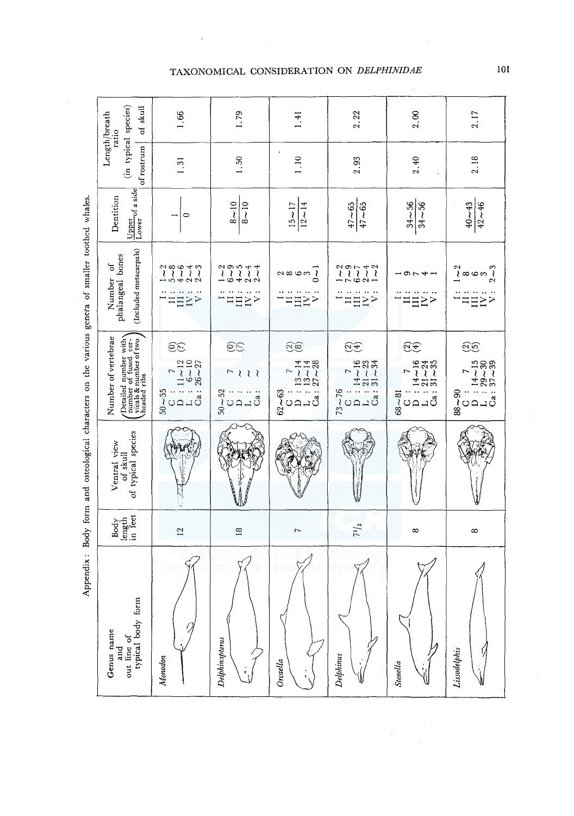| of skull<br>Length/breath<br>ratio                                                                                                                                              | 1.66                                                                                                        | 1,79                                                                                                                          | 1.41                                                                                     | 2.22                                                                                  | 2.00                                                                                                | 2.17                                                  |
|---------------------------------------------------------------------------------------------------------------------------------------------------------------------------------|-------------------------------------------------------------------------------------------------------------|-------------------------------------------------------------------------------------------------------------------------------|------------------------------------------------------------------------------------------|---------------------------------------------------------------------------------------|-----------------------------------------------------------------------------------------------------|-------------------------------------------------------|
| (in typical species)<br>of rostrum                                                                                                                                              | $\frac{5}{1}$                                                                                               | $\frac{50}{ }$                                                                                                                | 1.10                                                                                     | 2.93                                                                                  | 2.40                                                                                                | 2.18                                                  |
| Upper of a side<br>Dentition                                                                                                                                                    | $\circ$                                                                                                     | $8 - 10$<br>$8 - 10$                                                                                                          | $15 \sim 17$<br>$12 - 14$                                                                | $\frac{47 - 65}{ }$<br>$47 - 65$                                                      | $34 - 56$<br>$34 - 56$                                                                              | $40 - 43$<br>$42 - 46$                                |
| (Included metacarpals)<br>phalangeal bones<br>$\mathfrak{o}^{\mathbf{f}}$<br>Number                                                                                             | $200070$<br>$1111$<br>$-10000$<br>$\begin{array}{c} \Xi\Xi\Xi\Xi\\ \Xi\Xi\Xi \end{array}$                   | $\begin{array}{c} 2000 + 4 \\ 1111 \\ -6400 \end{array}$<br>$\stackrel{}{\text{H}}\stackrel{}{\text{H}}\stackrel{}{\text{H}}$ | $\begin{array}{c} 2 \text{ mod } 1 \ 2 \text{ mod } 2 \end{array}$<br>$\Xi$ <sub>2</sub> | $2007 + 2$<br>$7111$<br>$\lim_{n\to\infty}$                                           | - ラフチー<br>$\Xi$ <b>E</b> $\geq$                                                                     | ງ<br>ໄ<br>ສັງ<br>E >                                  |
| $\begin{bmatrix} \text{Deailed number with} \\ \text{number of fused cer} \\ \text{vicals } \& \text{ number of two} \\ \text{haded ribs} \end{bmatrix}$<br>Number of vertebrae | විව<br>$50 \sim 55$<br>$0 \quad ; \quad 7$<br>$11 \sim 12$<br>$11 \sim 12$<br>$16 \sim 10$<br>$125 \sim 27$ | $\widehat{\mathfrak{S}}$<br>$\overline{ }$<br>222<br>$20 - 1$<br>Ga                                                           | $\widetilde{20}$<br>$62 \times 63$<br>C<br>C<br>L<br>L<br>L<br>Ca<br>27 ~ 28             | <u>ମ୍ବର</u><br>$C$ : $14 \sim 16$<br>$L$ : $21 \sim 23$<br>$Ca: 31 - 34$<br>$73 - 76$ | $\widehat{\mathrm{C}}\widehat{\mathrm{t}}$<br>$: 14 - 16$<br>$: 21 - 24$<br>a: 31 ~ 35<br>$68 - 81$ | වු<br>$: 14 - 15$<br>$: 29 - 30$<br>$: 37 - 39$<br>r, |
| of typical species<br>Ventral view<br>of skull                                                                                                                                  |                                                                                                             |                                                                                                                               |                                                                                          |                                                                                       |                                                                                                     |                                                       |
| Body<br>length<br>in feet                                                                                                                                                       | 12                                                                                                          | $\approx$                                                                                                                     | L                                                                                        | $7^{1/2}$                                                                             | $\infty$                                                                                            | $\infty$                                              |
| typical body form<br>Genus name<br>out line of<br>and                                                                                                                           | Monodon                                                                                                     | Delphinapterus                                                                                                                | Orcaella                                                                                 | Delphinus                                                                             | <b>Stenella</b>                                                                                     | ý<br>Lissodelphis<br>đ.                               |

Appendix: Body form and osteological characters on the various genera of smaller toothed whales. Appendix: Body form and osteological characters on the various genera of smaller toothed whales. XONOMICAL CONSIDERATION ON *DELPHINIDAE* 

l,

 $10I$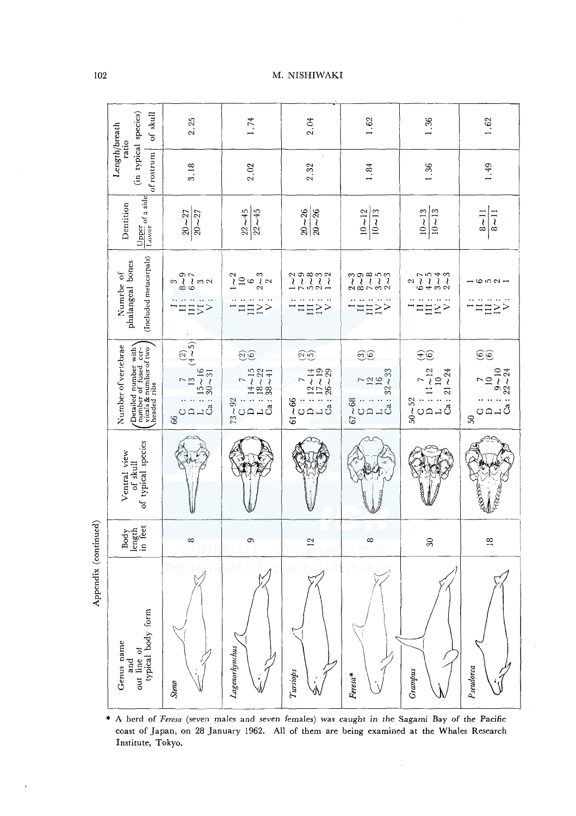|                      | of skull                                                                                                                                                                | 2.25                                                                                                                                                                | 1.74                                                                                                                                           | 2.04                                                                                                      | 1.62                                                                                                       | 1.36                                                                                                                         | 1.62                                                   |
|----------------------|-------------------------------------------------------------------------------------------------------------------------------------------------------------------------|---------------------------------------------------------------------------------------------------------------------------------------------------------------------|------------------------------------------------------------------------------------------------------------------------------------------------|-----------------------------------------------------------------------------------------------------------|------------------------------------------------------------------------------------------------------------|------------------------------------------------------------------------------------------------------------------------------|--------------------------------------------------------|
|                      | (in typical species)<br>Length/breath<br>ratio<br>of rostrum                                                                                                            | 3.18                                                                                                                                                                | 2.02                                                                                                                                           | 2.32                                                                                                      | $1\,.84$                                                                                                   | 1.36                                                                                                                         | 1.49                                                   |
|                      | $\frac{\text{Upper}}{\text{Lower}}$ of a side<br>Dentition                                                                                                              | $20 - 27$<br>$\frac{1}{20}$ ~ 27                                                                                                                                    | $22\!\sim\!45$<br>$22 - 45$                                                                                                                    | $20 - 26$<br>$20 - 26$                                                                                    | $10 - 12$<br>$10 - 13$                                                                                     | $10 - 13$<br>$10 - 13$                                                                                                       | $8 - 11$<br>$8 - 11$                                   |
|                      | (Included metacarpals)<br>phalangeal bones<br>Numrbe of                                                                                                                 | $2007$<br>$607$<br>3<br>$\geq$<br>III<br>$\overline{\vee}$                                                                                                          | $\sim$ 2<br>$2\sim3$<br>$\supseteq$<br>$\ddot{\circ}$<br>Ξ.<br>$\geq$<br>$\Xi$                                                                 | $\begin{array}{c} 2000000 \\ 1111 \\ -1000 -1 \end{array}$<br>$\frac{1}{2}$<br>$\mathbf{I}$               | $\begin{array}{c} 0.00000 \\ 0.000000 \\ 0.000000 \\ \end{array}$<br>$\Xi$ <sup>&gt;</sup><br>$\mathbf{I}$ | $77040$<br>$0400$<br>$\sim$<br>$\overline{\mathbf{u}}$<br>$\geq$<br>$\mathbf{I}$                                             | - 652-<br>H <sub>E</sub>                               |
|                      | $\begin{bmatrix} \text{Derailed number with} \\ \text{number of fused cer-} \\ \text{visals & number of two} \\ \text{haded risk} \end{bmatrix}$<br>Number of vertebrae | $\begin{bmatrix} (2) \\ (4\sim5) \end{bmatrix}$<br>$\frac{7}{13}$<br>$\frac{13}{15}$ 15<br>$\frac{16}{30}$<br>$\ddot{\ddot{\delta}}$<br>$\Box$<br>$\Box$<br>U<br>66 | $\widetilde{26}$<br>$14 - 15$<br>$18 - 22$<br>$Ca: 38 - 41$<br>$\overline{ }$<br>$73 - 92$<br>$\mathbf{L}$<br>$\square$<br>$\circlearrowright$ | $\widetilde{26}$<br>$26 - 29$<br>$12 - 14$<br>$17 - 19$<br>7<br>Ca:<br>$\frac{8}{100}$<br>$\frac{1}{100}$ | $\widehat{\mathcal{O}}$<br>$32 - 33$<br>729<br>0010<br>$67 - 68$                                           | $\widehat{\pm\mathfrak{S}}$<br>$11 - 12$<br>$10$<br>$Ca: 21 - 24$<br>$\overline{ }$<br>$50\!\sim\!52$<br>OQ<br>$\rightarrow$ | <u>ෙ</u><br>$9 - 10$<br>$22 - 24$<br>$\supseteq$<br>SO |
|                      | of typical species<br>Ventral view<br>of skull                                                                                                                          |                                                                                                                                                                     |                                                                                                                                                |                                                                                                           |                                                                                                            |                                                                                                                              | క్ష్మీన్మ                                              |
|                      | length<br>in feet<br>Body                                                                                                                                               | $\infty$                                                                                                                                                            | Ó                                                                                                                                              | $\overline{12}$                                                                                           | $\infty$                                                                                                   | $30\,$                                                                                                                       | $\approx$                                              |
| Appendix (continued) | out line of<br>typical body form<br>Genus name<br>and                                                                                                                   | Steno                                                                                                                                                               | Lagenorhynchus                                                                                                                                 | Tursiops                                                                                                  | Feresa*                                                                                                    | Grampus                                                                                                                      | Pseudorca                                              |

\* A herd of Feresa (seven males and seven females) was caught in the Sagami Bay of the Pacific coast of Japan, on 28 January 1962. All of them are being examined at the Whales Research Institute, Tokyo.

à,

102

### M. NISHIWAKI